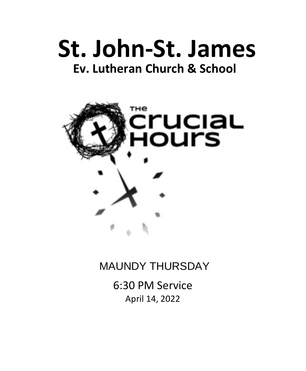# **St. John-St. James Ev. Lutheran Church & School**



## MAUNDY THURSDAY

6:30 PM Service April 14, 2022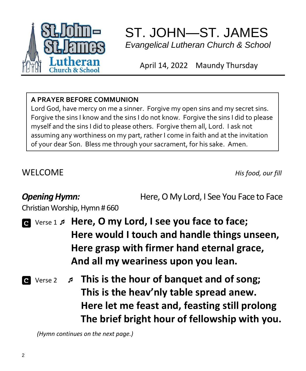

## ST. JOHN—ST. JAMES  *Evangelical Lutheran Church & School*

April 14, 2022 Maundy Thursday

### **A PRAYER BEFORE COMMUNION**

Lord God, have mercy on me a sinner. Forgive my open sins and my secret sins. Forgive the sins I know and the sins I do not know. Forgive the sins I did to please myself and the sins I did to please others. Forgive them all, Lord. I ask not assuming any worthiness on my part, rather I come in faith and at the invitation of your dear Son. Bless me through your sacrament, for his sake. Amen.

WELCOME *His food, our fill*

**Opening Hymn: Here, O My Lord, I See You Face to Face** 

Christian Worship, Hymn # 660

 Verse 1  **Here, O my Lord, I see you face to face; Here would I touch and handle things unseen, Here grasp with firmer hand eternal grace, And all my weariness upon you lean.**

 Verse 2  **This is the hour of banquet and of song; This is the heav'nly table spread anew. Here let me feast and, feasting still prolong The brief bright hour of fellowship with you.**

 *(Hymn continues on the next page.)*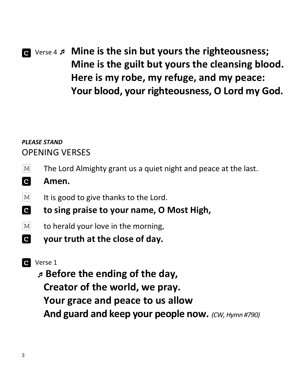## Verse 4  **Mine is the sin but yours the righteousness; Mine is the guilt but yours the cleansing blood. Here is my robe, my refuge, and my peace: Your blood, your righteousness, O Lord my God.**

### *PLEASE STAND* OPENING VERSES

- $|M|$ The Lord Almighty grant us a quiet night and peace at the last.
- **C Amen.**
- $|M|$ It is good to give thanks to the Lord.
- **C to sing praise to your name, O Most High,**
- $\vert M \vert$ to herald your love in the morning,
- **C your truth at the close of day.**

### **C** Verse 1

 **Before the ending of the day, Creator of the world, we pray. Your grace and peace to us allow And guard and keep your people now.** *(CW, Hymn #790)*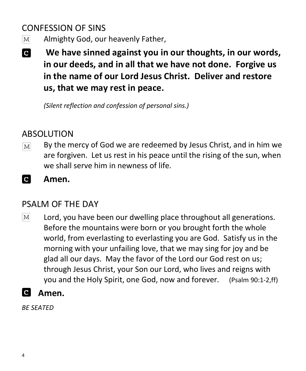## CONFESSION OF SINS

- Almighty God, our heavenly Father,  $\lceil \text{M} \rceil$
- **C We have sinned against you in our thoughts, in our words, in our deeds, and in all that we have not done. Forgive us in the name of our Lord Jesus Christ. Deliver and restore us, that we may rest in peace.**

*(Silent reflection and confession of personal sins.)*

## ABSOLUTION

- By the mercy of God we are redeemed by Jesus Christ, and in him we  $|M|$ are forgiven. Let us rest in his peace until the rising of the sun, when we shall serve him in newness of life.
- **C Amen.**

## PSALM OF THE DAY

 $|M|$ Lord, you have been our dwelling place throughout all generations. Before the mountains were born or you brought forth the whole world, from everlasting to everlasting you are God. Satisfy us in the morning with your unfailing love, that we may sing for joy and be glad all our days. May the favor of the Lord our God rest on us; through Jesus Christ, your Son our Lord, who lives and reigns with you and the Holy Spirit, one God, now and forever. (Psalm 90:1-2,ff)



*BE SEATED*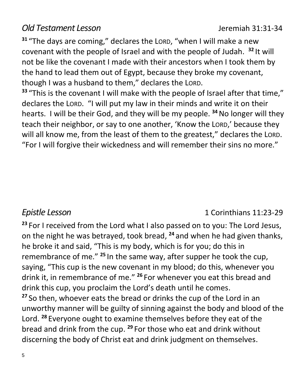### *Old Testament Lesson* Jeremiah 31:31-34

**<sup>31</sup>** "The days are coming," declares the LORD, "when I will make a new covenant with the people of Israel and with the people of Judah. **<sup>32</sup>** It will not be like the covenant I made with their ancestors when I took them by the hand to lead them out of Egypt, because they broke my covenant, though I was a husband to them," declares the LORD.

**<sup>33</sup>** "This is the covenant I will make with the people of Israel after that time," declares the LORD. "I will put my law in their minds and write it on their hearts. I will be their God, and they will be my people. **<sup>34</sup>**No longer will they teach their neighbor, or say to one another, 'Know the LORD,' because they will all know me, from the least of them to the greatest," declares the LORD. "For I will forgive their wickedness and will remember their sins no more."

#### *Epistle Lesson* 1 Corinthians 11:23-29

**<sup>23</sup>** For I received from the Lord what I also passed on to you: The Lord Jesus, on the night he was betrayed, took bread, **<sup>24</sup>** and when he had given thanks, he broke it and said, "This is my body, which is for you; do this in remembrance of me." **<sup>25</sup>** In the same way, after supper he took the cup, saying, "This cup is the new covenant in my blood; do this, whenever you drink it, in remembrance of me." **<sup>26</sup>** For whenever you eat this bread and drink this cup, you proclaim the Lord's death until he comes. **<sup>27</sup>** So then, whoever eats the bread or drinks the cup of the Lord in an unworthy manner will be guilty of sinning against the body and blood of the Lord. **<sup>28</sup>** Everyone ought to examine themselves before they eat of the bread and drink from the cup. **<sup>29</sup>** For those who eat and drink without discerning the body of Christ eat and drink judgment on themselves.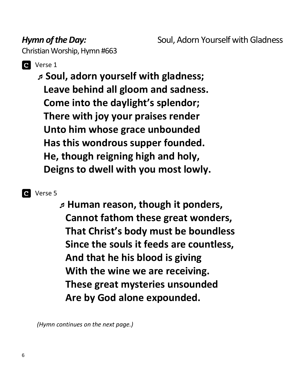*Hymn of the Day:* **Example 20 Soul, Adorn Yourself with Gladness** 

Christian Worship, Hymn #663



### **Q** Verse 1

 **Soul, adorn yourself with gladness; Leave behind all gloom and sadness. Come into the daylight's splendor; There with joy your praises render Unto him whose grace unbounded Has this wondrous supper founded. He, though reigning high and holy, Deigns to dwell with you most lowly.**

#### **C** Verse 5

 **Human reason, though it ponders, Cannot fathom these great wonders, That Christ's body must be boundless Since the souls it feeds are countless, And that he his blood is giving With the wine we are receiving. These great mysteries unsounded Are by God alone expounded.**

 *(Hymn continues on the next page.)*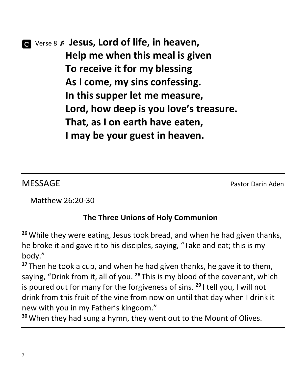## Verse 8 **Jesus, Lord of life, in heaven, Help me when this meal is given To receive it for my blessing As I come, my sins confessing. In this supper let me measure, Lord, how deep is you love's treasure. That, as I on earth have eaten, I may be your guest in heaven.**

MESSAGE Pastor Darin Aden

Matthew 26:20-30

### **The Three Unions of Holy Communion**

**<sup>26</sup>**While they were eating, Jesus took bread, and when he had given thanks, he broke it and gave it to his disciples, saying, "Take and eat; this is my body."

**<sup>27</sup>** Then he took a cup, and when he had given thanks, he gave it to them, saying, "Drink from it, all of you. **<sup>28</sup>** This is my blood of the covenant, which is poured out for many for the forgiveness of sins. **<sup>29</sup>** I tell you, I will not drink from this fruit of the vine from now on until that day when I drink it new with you in my Father's kingdom."

**30**When they had sung a hymn, they went out to the Mount of Olives.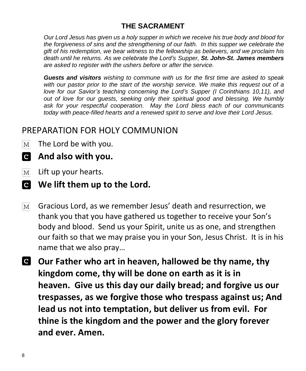#### **THE SACRAMENT**

*Our Lord Jesus has given us a holy supper in which we receive his true body and blood for the forgiveness of sins and the strengthening of our faith. In this supper we celebrate the gift of his redemption, we bear witness to the fellowship as believers, and we proclaim his death until he returns. As we celebrate the Lord's Supper, St. John-St. James members are asked to register with the ushers before or after the service.* 

*Guests and visitors wishing to commune with us for the first time are asked to speak with our pastor prior to the start of the worship service. We make this request out of a love for our Savior's teaching concerning the Lord's Supper (I Corinthians 10,11), and out of love for our guests, seeking only their spiritual good and blessing. We humbly ask for your respectful cooperation. May the Lord bless each of our communicants today with peace-filled hearts and a renewed spirit to serve and love their Lord Jesus.*

### PREPARATION FOR HOLY COMMUNION

- The Lord be with you.  $[M]$
- **And also with you.**
- Lift up your hearts.  $|M|$
- **We lift them up to the Lord.**
- Gracious Lord, as we remember Jesus' death and resurrection, we  $M<sup>2</sup>$ thank you that you have gathered us together to receive your Son's body and blood. Send us your Spirit, unite us as one, and strengthen our faith so that we may praise you in your Son, Jesus Christ. It is in his name that we also pray…
- **Our Father who art in heaven, hallowed be thy name, thy kingdom come, thy will be done on earth as it is in heaven. Give us this day our daily bread; and forgive us our trespasses, as we forgive those who trespass against us; And lead us not into temptation, but deliver us from evil. For thine is the kingdom and the power and the glory forever and ever. Amen.**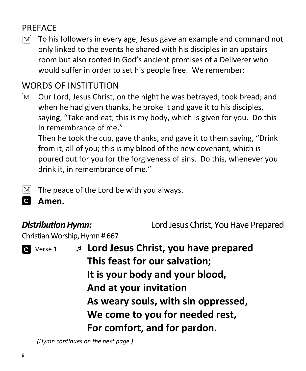## PREFACE

 $|M|$ To his followers in every age, Jesus gave an example and command not only linked to the events he shared with his disciples in an upstairs room but also rooted in God's ancient promises of a Deliverer who would suffer in order to set his people free. We remember:

## WORDS OF INSTITUTION

Our Lord, Jesus Christ, on the night he was betrayed, took bread; and  $|M|$ when he had given thanks, he broke it and gave it to his disciples, saying, "Take and eat; this is my body, which is given for you. Do this in remembrance of me."

Then he took the cup, gave thanks, and gave it to them saying, "Drink from it, all of you; this is my blood of the new covenant, which is poured out for you for the forgiveness of sins. Do this, whenever you drink it, in remembrance of me."

The peace of the Lord be with you always.  $|M|$ 

 $\mathbf{c}$ **Amen.**

*Distribution Hymn:* Lord Jesus Christ, You Have Prepared

Christian Worship, Hymn # 667



 Verse 1 **Lord Jesus Christ, you have prepared This feast for our salvation; It is your body and your blood, And at your invitation As weary souls, with sin oppressed, We come to you for needed rest, For comfort, and for pardon.**

 *(Hymn continues on the next page.)*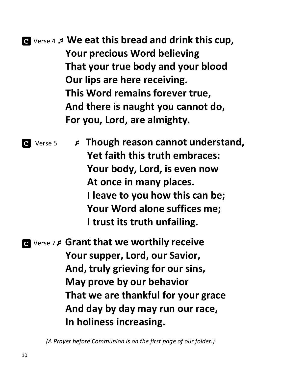## Verse 4 **We eat this bread and drink this cup, Your precious Word believing That your true body and your blood Our lips are here receiving. This Word remains forever true, And there is naught you cannot do, For you, Lord, are almighty.**

 Verse 5 **Though reason cannot understand, Yet faith this truth embraces: Your body, Lord, is even now At once in many places. I leave to you how this can be; Your Word alone suffices me; I trust its truth unfailing.**

 Verse 7 **Grant that we worthily receive Your supper, Lord, our Savior, And, truly grieving for our sins, May prove by our behavior That we are thankful for your grace And day by day may run our race, In holiness increasing.**

 *(A Prayer before Communion is on the first page of our folder.)*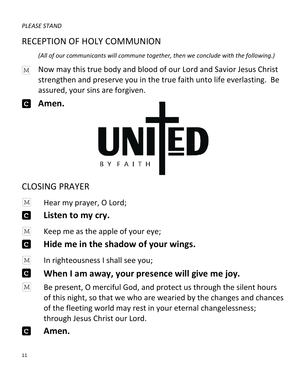**Amen.** 

## RECEPTION OF HOLY COMMUNION

*(All of our communicants will commune together, then we conclude with the following.)*

 $\boxed{\text{M}}$ Now may this true body and blood of our Lord and Savior Jesus Christ strengthen and preserve you in the true faith unto life everlasting. Be assured, your sins are forgiven.



## CLOSING PRAYER

- $|M|$ Hear my prayer, O Lord;
- **C Listen to my cry.**
- Keep me as the apple of your eye;  $M$
- **C Hide me in the shadow of your wings.**
- $\lceil \text{M} \rceil$ In righteousness I shall see you;
- **C When I am away, your presence will give me joy.**
- $\lceil \text{M} \rceil$ Be present, O merciful God, and protect us through the silent hours of this night, so that we who are wearied by the changes and chances of the fleeting world may rest in your eternal changelessness; through Jesus Christ our Lord.
- $\overline{c}$ **Amen.**